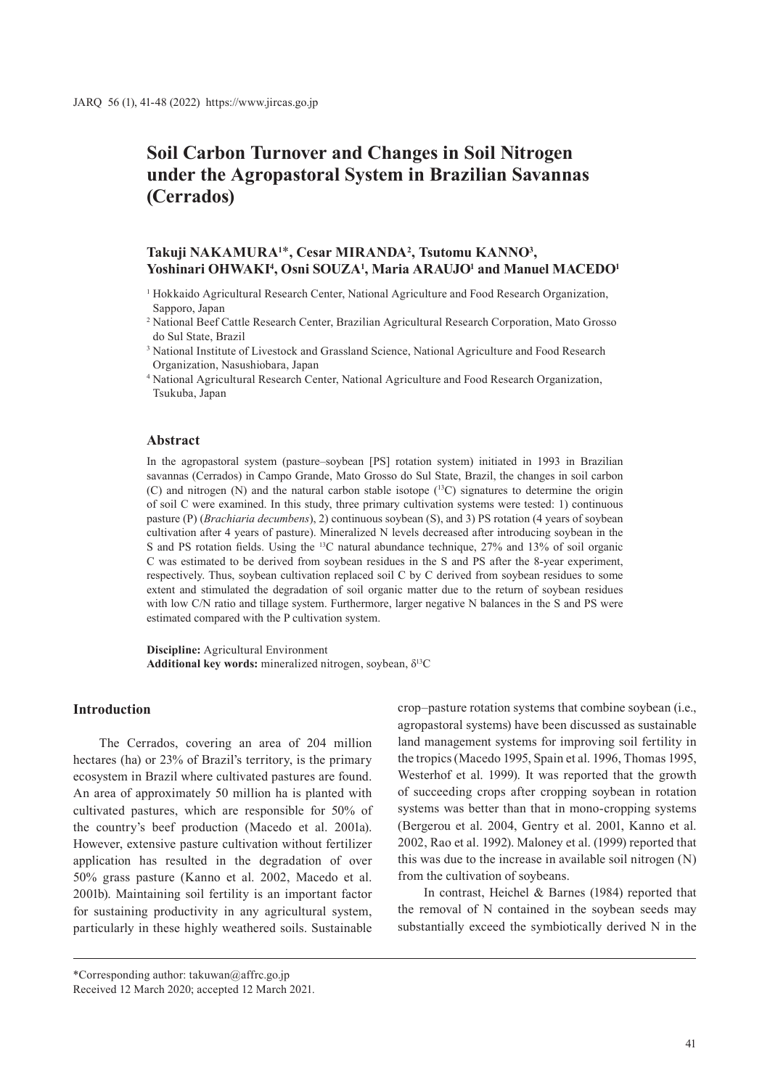# **Soil Carbon Turnover and Changes in Soil Nitrogen under the Agropastoral System in Brazilian Savannas (Cerrados)**

## **Takuji NAKAMURA1**\***, Cesar MIRANDA2 , Tsutomu KANNO3 ,**  Yoshinari OHWAKI<sup>4</sup>, Osni SOUZA<sup>1</sup>, Maria ARAUJO<sup>1</sup> and Manuel MACEDO<sup>1</sup>

- <sup>1</sup> Hokkaido Agricultural Research Center, National Agriculture and Food Research Organization, Sapporo, Japan
- <sup>2</sup> National Beef Cattle Research Center, Brazilian Agricultural Research Corporation, Mato Grosso do Sul State, Brazil
- <sup>3</sup> National Institute of Livestock and Grassland Science, National Agriculture and Food Research Organization, Nasushiobara, Japan
- <sup>4</sup> National Agricultural Research Center, National Agriculture and Food Research Organization, Tsukuba, Japan

#### **Abstract**

In the agropastoral system (pasture–soybean [PS] rotation system) initiated in 1993 in Brazilian savannas (Cerrados) in Campo Grande, Mato Grosso do Sul State, Brazil, the changes in soil carbon (C) and nitrogen (N) and the natural carbon stable isotope  $(^{13}C)$  signatures to determine the origin of soil C were examined. In this study, three primary cultivation systems were tested: 1) continuous pasture (P) (*Brachiaria decumbens*), 2) continuous soybean (S), and 3) PS rotation (4 years of soybean cultivation after 4 years of pasture). Mineralized N levels decreased after introducing soybean in the S and PS rotation fields. Using the 13C natural abundance technique, 27% and 13% of soil organic C was estimated to be derived from soybean residues in the S and PS after the 8-year experiment, respectively. Thus, soybean cultivation replaced soil C by C derived from soybean residues to some extent and stimulated the degradation of soil organic matter due to the return of soybean residues with low C/N ratio and tillage system. Furthermore, larger negative N balances in the S and PS were estimated compared with the P cultivation system.

**Discipline:** Agricultural Environment **Additional key words:** mineralized nitrogen, soybean, δ13C

## **Introduction**

The Cerrados, covering an area of 204 million hectares (ha) or 23% of Brazil's territory, is the primary ecosystem in Brazil where cultivated pastures are found. An area of approximately 50 million ha is planted with cultivated pastures, which are responsible for 50% of the country's beef production (Macedo et al. 2001a). However, extensive pasture cultivation without fertilizer application has resulted in the degradation of over 50% grass pasture (Kanno et al. 2002, Macedo et al. 2001b). Maintaining soil fertility is an important factor for sustaining productivity in any agricultural system, particularly in these highly weathered soils. Sustainable

crop–pasture rotation systems that combine soybean (i.e., agropastoral systems) have been discussed as sustainable land management systems for improving soil fertility in the tropics (Macedo 1995, Spain et al. 1996, Thomas 1995, Westerhof et al. 1999). It was reported that the growth of succeeding crops after cropping soybean in rotation systems was better than that in mono-cropping systems (Bergerou et al. 2004, Gentry et al. 2001, Kanno et al. 2002, Rao et al. 1992). Maloney et al. (1999) reported that this was due to the increase in available soil nitrogen (N) from the cultivation of soybeans.

In contrast, Heichel & Barnes (1984) reported that the removal of N contained in the soybean seeds may substantially exceed the symbiotically derived N in the

\*Corresponding author: takuwan@affrc.go.jp

Received 12 March 2020; accepted 12 March 2021.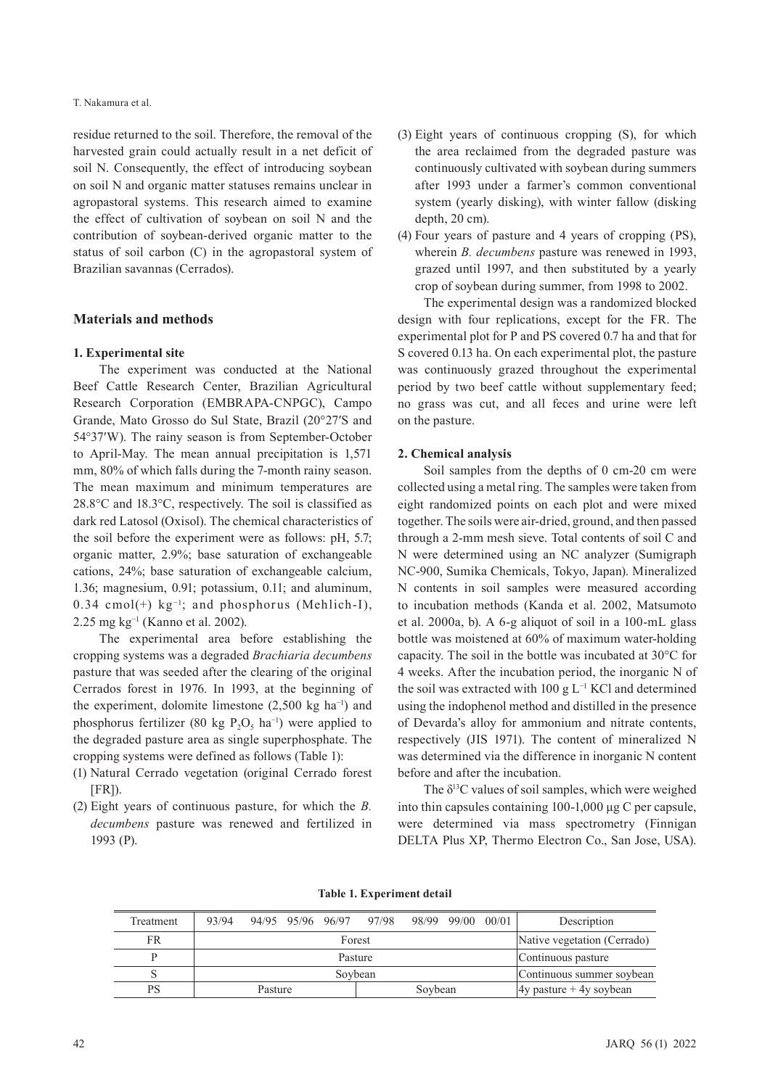#### T. Nakamura et al.

residue returned to the soil. Therefore, the removal of the harvested grain could actually result in a net deficit of soil N. Consequently, the effect of introducing soybean on soil N and organic matter statuses remains unclear in agropastoral systems. This research aimed to examine the effect of cultivation of soybean on soil N and the contribution of soybean-derived organic matter to the status of soil carbon (C) in the agropastoral system of Brazilian savannas (Cerrados).

## **Materials and methods**

#### **1. Experimental site**

The experiment was conducted at the National Beef Cattle Research Center, Brazilian Agricultural Research Corporation (EMBRAPA-CNPGC), Campo Grande, Mato Grosso do Sul State, Brazil (20°27′S and 54°37′W). The rainy season is from September-October to April-May. The mean annual precipitation is 1,571 mm, 80% of which falls during the 7-month rainy season. The mean maximum and minimum temperatures are 28.8°C and 18.3°C, respectively. The soil is classified as dark red Latosol (Oxisol). The chemical characteristics of the soil before the experiment were as follows: pH, 5.7; organic matter, 2.9%; base saturation of exchangeable cations, 24%; base saturation of exchangeable calcium, 1.36; magnesium, 0.91; potassium, 0.11; and aluminum, 0.34 cmol(+)  $kg^{-1}$ ; and phosphorus (Mehlich-I), 2.25 mg kg<sup>-1</sup> (Kanno et al. 2002).

The experimental area before establishing the cropping systems was a degraded *Brachiaria decumbens* pasture that was seeded after the clearing of the original Cerrados forest in 1976. In 1993, at the beginning of the experiment, dolomite limestone  $(2,500 \text{ kg ha}^{-1})$  and phosphorus fertilizer (80 kg P<sub>2</sub>O<sub>5</sub> ha<sup>-1</sup>) were applied to the degraded pasture area as single superphosphate. The cropping systems were defined as follows (Table 1):

- (1) Natural Cerrado vegetation (original Cerrado forest  $[FR]$ ).
- (2) Eight years of continuous pasture, for which the *B. decumbens* pasture was renewed and fertilized in 1993 (P).
- (3) Eight years of continuous cropping (S), for which the area reclaimed from the degraded pasture was continuously cultivated with soybean during summers after 1993 under a farmer's common conventional system (yearly disking), with winter fallow (disking depth, 20 cm).
- (4) Four years of pasture and 4 years of cropping (PS), wherein *B. decumbens* pasture was renewed in 1993, grazed until 1997, and then substituted by a yearly crop of soybean during summer, from 1998 to 2002.

The experimental design was a randomized blocked design with four replications, except for the FR. The experimental plot for P and PS covered 0.7 ha and that for S covered 0.13 ha. On each experimental plot, the pasture was continuously grazed throughout the experimental period by two beef cattle without supplementary feed; no grass was cut, and all feces and urine were left on the pasture.

## **2. Chemical analysis**

Soil samples from the depths of 0 cm-20 cm were collected using a metal ring. The samples were taken from eight randomized points on each plot and were mixed together. The soils were air-dried, ground, and then passed through a 2-mm mesh sieve. Total contents of soil C and N were determined using an NC analyzer (Sumigraph NC-900, Sumika Chemicals, Tokyo, Japan). Mineralized N contents in soil samples were measured according to incubation methods (Kanda et al. 2002, Matsumoto et al. 2000a, b). A 6-g aliquot of soil in a 100-mL glass bottle was moistened at 60% of maximum water-holding capacity. The soil in the bottle was incubated at 30°C for 4 weeks. After the incubation period, the inorganic N of the soil was extracted with 100 g L−1 KCl and determined using the indophenol method and distilled in the presence of Devarda's alloy for ammonium and nitrate contents, respectively (JIS 1971). The content of mineralized N was determined via the difference in inorganic N content before and after the incubation.

The  $\delta^{13}$ C values of soil samples, which were weighed into thin capsules containing 100-1,000 μg C per capsule, were determined via mass spectrometry (Finnigan DELTA Plus XP, Thermo Electron Co., San Jose, USA).

**Table 1. Experiment detail**

| Treatment | 93/94   |         |  |                           | 94/95 95/96 96/97 97/98 98/99 99/00 00/01 |                    |  | Description                 |  |  |
|-----------|---------|---------|--|---------------------------|-------------------------------------------|--------------------|--|-----------------------------|--|--|
| FR        |         |         |  | Forest                    |                                           |                    |  | Native vegetation (Cerrado) |  |  |
|           | Pasture |         |  |                           |                                           | Continuous pasture |  |                             |  |  |
|           | Sovbean |         |  | Continuous summer soybean |                                           |                    |  |                             |  |  |
| <b>PS</b> |         | Pasture |  |                           |                                           | Soybean            |  | $ 4y$ pasture + 4y soybean  |  |  |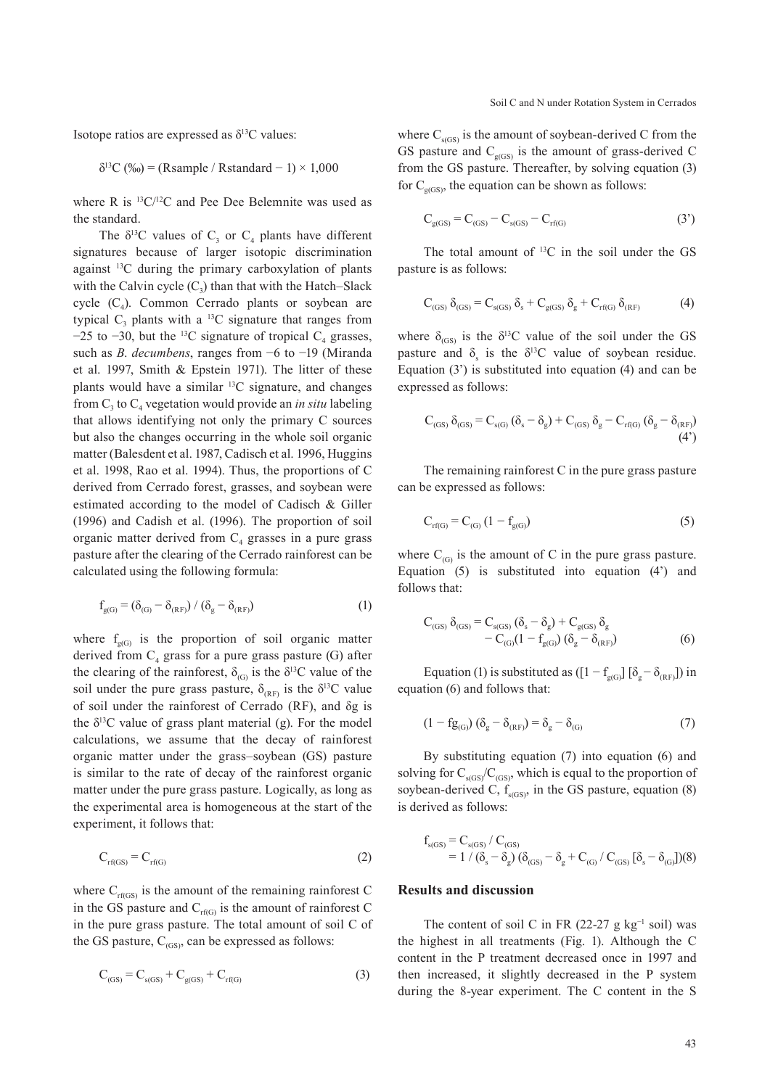Isotope ratios are expressed as  $\delta^{13}$ C values:

$$
\delta^{13}C (%) = (Rsample / Rstandard - 1) \times 1,000
$$

where R is 13C/12C and Pee Dee Belemnite was used as the standard.

The  $\delta^{13}$ C values of C<sub>3</sub> or C<sub>4</sub> plants have different signatures because of larger isotopic discrimination against 13C during the primary carboxylation of plants with the Calvin cycle  $(C_2)$  than that with the Hatch–Slack cycle  $(C_4)$ . Common Cerrado plants or soybean are typical  $C_3$  plants with a <sup>13</sup>C signature that ranges from  $-25$  to  $-30$ , but the <sup>13</sup>C signature of tropical C<sub>4</sub> grasses, such as *B*. *decumbens*, ranges from −6 to −19 (Miranda et al. 1997, Smith & Epstein 1971). The litter of these plants would have a similar 13C signature, and changes from  $C_3$  to  $C_4$  vegetation would provide an *in situ* labeling that allows identifying not only the primary C sources but also the changes occurring in the whole soil organic matter (Balesdent et al. 1987, Cadisch et al. 1996, Huggins et al. 1998, Rao et al. 1994). Thus, the proportions of C derived from Cerrado forest, grasses, and soybean were estimated according to the model of Cadisch & Giller (1996) and Cadish et al. (1996). The proportion of soil organic matter derived from  $C_4$  grasses in a pure grass pasture after the clearing of the Cerrado rainforest can be calculated using the following formula:

$$
\mathbf{f}_{g(G)} = (\delta_{(G)} - \delta_{(RF)}) / (\delta_g - \delta_{(RF)}) \tag{1}
$$

where  $f_{g(G)}$  is the proportion of soil organic matter derived from  $C_4$  grass for a pure grass pasture (G) after the clearing of the rainforest,  $\delta_{(G)}$  is the  $\delta^{13}$ C value of the soil under the pure grass pasture,  $\delta_{(RF)}$  is the  $\delta^{13}C$  value of soil under the rainforest of Cerrado (RF), and δg is the  $\delta^{13}$ C value of grass plant material (g). For the model calculations, we assume that the decay of rainforest organic matter under the grass–soybean (GS) pasture is similar to the rate of decay of the rainforest organic matter under the pure grass pasture. Logically, as long as the experimental area is homogeneous at the start of the experiment, it follows that:

$$
C_{\rm rf(GS)} = C_{\rm rf(G)} \tag{2}
$$

where  $C_{\text{rf(GS)}}$  is the amount of the remaining rainforest C in the GS pasture and  $C_{rf(G)}$  is the amount of rainforest C in the pure grass pasture. The total amount of soil C of the GS pasture,  $C_{(GS)}$ , can be expressed as follows:

$$
C_{(GS)} = C_{s(GS)} + C_{g(GS)} + C_{rf(G)}
$$
\n(3)

where  $C_{s(GS)}$  is the amount of soybean-derived C from the GS pasture and  $C_{g(GS)}$  is the amount of grass-derived C from the GS pasture. Thereafter, by solving equation (3) for  $C_{\sigma(GS)}$ , the equation can be shown as follows:

$$
C_{g(GS)} = C_{(GS)} - C_{s(GS)} - C_{rf(G)}
$$
\n(3')

The total amount of <sup>13</sup>C in the soil under the GS pasture is as follows:

$$
C_{\text{(GS)}}\,\delta_{\text{(GS)}}\!=\!C_{\text{s(GS)}}\,\delta_{\text{s}}+C_{\text{g(GS)}}\,\delta_{\text{g}}+C_{\text{rf(G)}}\,\delta_{\text{(RF)}}\qquad \qquad (4)
$$

where  $\delta_{(GS)}$  is the  $\delta^{13}$ C value of the soil under the GS pasture and  $\delta_s$  is the  $\delta^{13}$ C value of soybean residue. Equation (3') is substituted into equation (4) and can be expressed as follows:

$$
C_{\text{(GS)}} \, \delta_{\text{(GS)}} = C_{\text{s(G)}} \, (\delta_{\text{s}} - \delta_{\text{g}}) + C_{\text{(GS)}} \, \delta_{\text{g}} - C_{\text{rf(G)}} \, (\delta_{\text{g}} - \delta_{\text{(RF)}}) \tag{4'}
$$

The remaining rainforest  $C$  in the pure grass pasture can be expressed as follows:

$$
C_{rf(G)} = C_{(G)} (1 - f_{g(G)})
$$
\n(5)

where  $C_{(G)}$  is the amount of C in the pure grass pasture. Equation (5) is substituted into equation (4') and follows that:

$$
C_{(GS)} \delta_{(GS)} = C_{s(GS)} (\delta_s - \delta_g) + C_{g(GS)} \delta_g - C_{(G)} (1 - f_{g(G)}) (\delta_g - \delta_{(RF)})
$$
(6)

Equation (1) is substituted as ( $[1 - f_{g(G)}] [\delta_g - \delta_{(RF)}]$ ) in equation (6) and follows that:

$$
(1 - fg_{(G)}) (\delta_g - \delta_{(RF)}) = \delta_g - \delta_{(G)}
$$
 (7)

By substituting equation (7) into equation (6) and solving for  $C_{s(GS)}/C_{(GS)}$ , which is equal to the proportion of soybean-derived C,  $f_{s(GS)}$ , in the GS pasture, equation (8) is derived as follows:

$$
\begin{array}{l} f_{s(GS)}=C_{s(GS)}/\left(C_{(GS)}\right.\\ \qquad\displaystyle=1\;/\left(\delta_{s}-\delta_{g}\right)(\delta_{(GS)}-\delta_{g}+C_{(G)}/\left(C_{(GS)}\left[\delta_{s}-\delta_{(G)}\right]\right)(8)\end{array}
$$

#### **Results and discussion**

The content of soil C in FR (22-27 g kg<sup>-1</sup> soil) was the highest in all treatments (Fig. 1). Although the C content in the P treatment decreased once in 1997 and then increased, it slightly decreased in the P system during the 8-year experiment. The C content in the S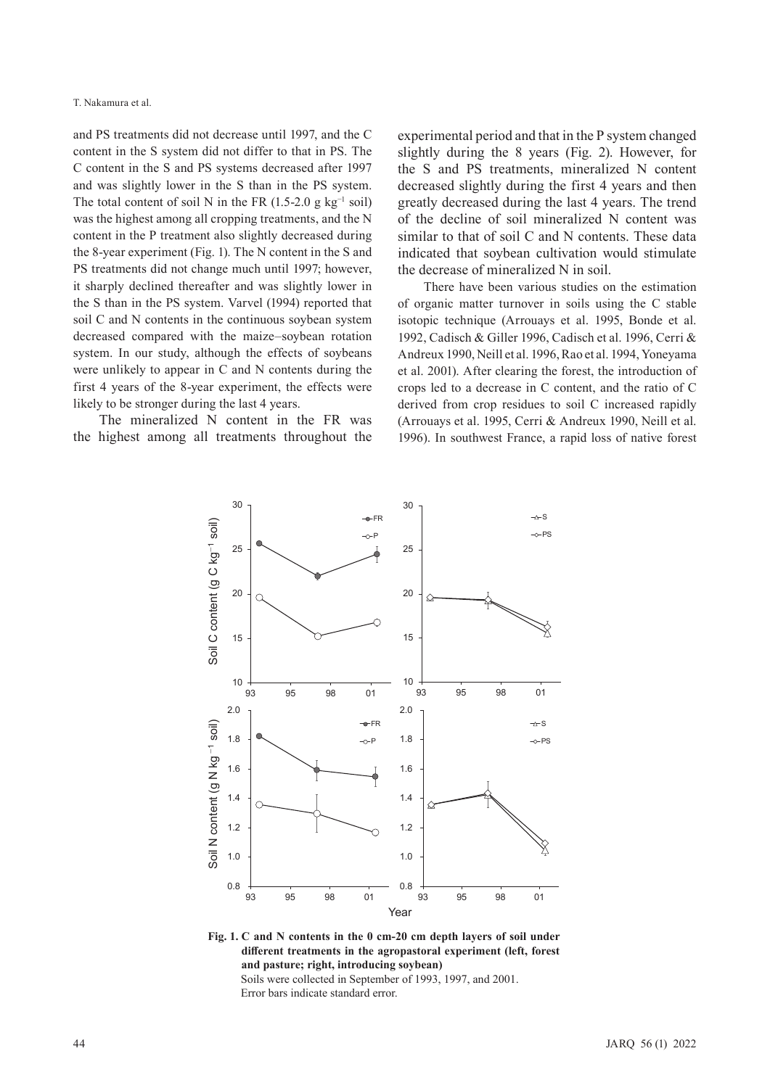and PS treatments did not decrease until 1997, and the C content in the S system did not differ to that in PS. The C content in the S and PS systems decreased after 1997 and was slightly lower in the S than in the PS system. The total content of soil N in the FR (1.5-2.0 g kg<sup>-1</sup> soil) was the highest among all cropping treatments, and the N content in the P treatment also slightly decreased during the 8-year experiment (Fig. 1). The N content in the S and PS treatments did not change much until 1997; however, it sharply declined thereafter and was slightly lower in the S than in the PS system. Varvel (1994) reported that soil C and N contents in the continuous soybean system decreased compared with the maize–soybean rotation system. In our study, although the effects of soybeans were unlikely to appear in C and N contents during the first 4 years of the 8-year experiment, the effects were likely to be stronger during the last 4 years.

The mineralized N content in the FR was the highest among all treatments throughout the experimental period and that in the P system changed slightly during the 8 years (Fig. 2). However, for the S and PS treatments, mineralized N content decreased slightly during the first 4 years and then greatly decreased during the last 4 years. The trend of the decline of soil mineralized N content was similar to that of soil C and N contents. These data indicated that soybean cultivation would stimulate the decrease of mineralized N in soil.

There have been various studies on the estimation of organic matter turnover in soils using the C stable isotopic technique (Arrouays et al. 1995, Bonde et al. 1992, Cadisch & Giller 1996, Cadisch et al. 1996, Cerri & Andreux 1990, Neill et al. 1996, Rao et al. 1994, Yoneyama et al. 2001). After clearing the forest, the introduction of crops led to a decrease in C content, and the ratio of C derived from crop residues to soil C increased rapidly (Arrouays et al. 1995, Cerri & Andreux 1990, Neill et al. 1996). In southwest France, a rapid loss of native forest



**Fig. 1. C and N contents in the 0 cm-20 cm depth layers of soil under different treatments in the agropastoral experiment (left, forest and pasture; right, introducing soybean)** Soils were collected in September of 1993, 1997, and 2001.

Error bars indicate standard error.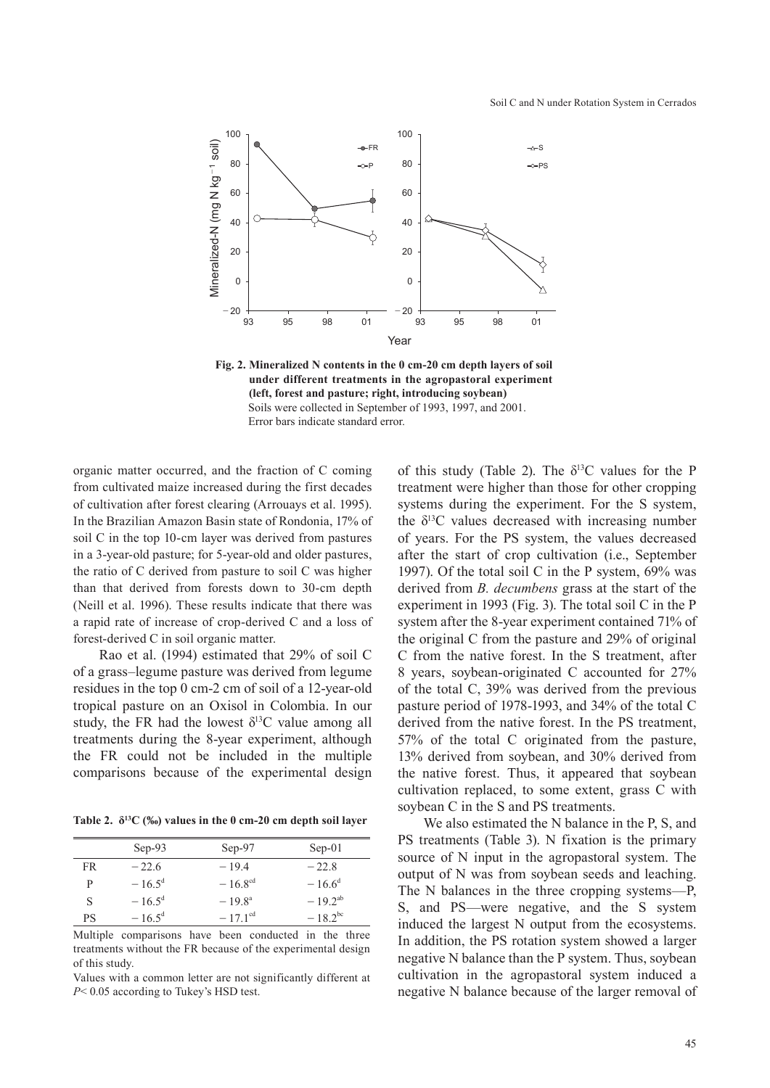

**Fig. 2. Mineralized N contents in the 0 cm-20 cm depth layers of soil under different treatments in the agropastoral experiment (left, forest and pasture; right, introducing soybean)** Soils were collected in September of 1993, 1997, and 2001. Error bars indicate standard error.

organic matter occurred, and the fraction of C coming from cultivated maize increased during the first decades of cultivation after forest clearing (Arrouays et al. 1995). In the Brazilian Amazon Basin state of Rondonia, 17% of soil C in the top 10-cm layer was derived from pastures in a 3-year-old pasture; for 5-year-old and older pastures, the ratio of C derived from pasture to soil C was higher than that derived from forests down to 30-cm depth (Neill et al. 1996). These results indicate that there was a rapid rate of increase of crop-derived C and a loss of forest-derived C in soil organic matter.

Rao et al. (1994) estimated that 29% of soil C of a grass–legume pasture was derived from legume residues in the top 0 cm-2 cm of soil of a 12-year-old tropical pasture on an Oxisol in Colombia. In our study, the FR had the lowest  $\delta^{13}$ C value among all treatments during the 8-year experiment, although the FR could not be included in the multiple comparisons because of the experimental design

**Table 2. δ13C (‰) values in the 0 cm-20 cm depth soil layer**

|    | $Sep-93$        | $Sep-97$            | $Sep-01$     |
|----|-----------------|---------------------|--------------|
| FR | $-22.6$         | $-19.4$             | $-22.8$      |
| P  | $-16.5^{\rm d}$ | $-16.8^{\text{cd}}$ | $-16.6^d$    |
| S  | $-16.5^{\rm d}$ | $-19.8^{\rm a}$     | $-19.2^{ab}$ |
| РS | $-16.5^{\rm d}$ | $-17.1^{\text{cd}}$ | $-18.2^{bc}$ |

Multiple comparisons have been conducted in the three treatments without the FR because of the experimental design of this study.

Values with a common letter are not significantly different at *<sup>P</sup>*< 0.05 according to Tukey's HSD test.

of this study (Table 2). The  $\delta^{13}$ C values for the P treatment were higher than those for other cropping systems during the experiment. For the S system, the  $\delta^{13}$ C values decreased with increasing number of years. For the PS system, the values decreased after the start of crop cultivation (i.e., September 1997). Of the total soil C in the P system, 69% was derived from *B. decumbens* grass at the start of the experiment in 1993 (Fig. 3). The total soil C in the P system after the 8-year experiment contained 71% of the original C from the pasture and 29% of original C from the native forest. In the S treatment, after 8 years, soybean-originated C accounted for 27% of the total C, 39% was derived from the previous pasture period of 1978-1993, and 34% of the total C derived from the native forest. In the PS treatment, 57% of the total C originated from the pasture, 13% derived from soybean, and 30% derived from the native forest. Thus, it appeared that soybean cultivation replaced, to some extent, grass C with soybean C in the S and PS treatments.

We also estimated the N balance in the P, S, and PS treatments (Table 3). N fixation is the primary source of N input in the agropastoral system. The output of N was from soybean seeds and leaching. The N balances in the three cropping systems—P, S, and PS—were negative, and the S system induced the largest N output from the ecosystems. In addition, the PS rotation system showed a larger negative N balance than the P system. Thus, soybean cultivation in the agropastoral system induced a negative N balance because of the larger removal of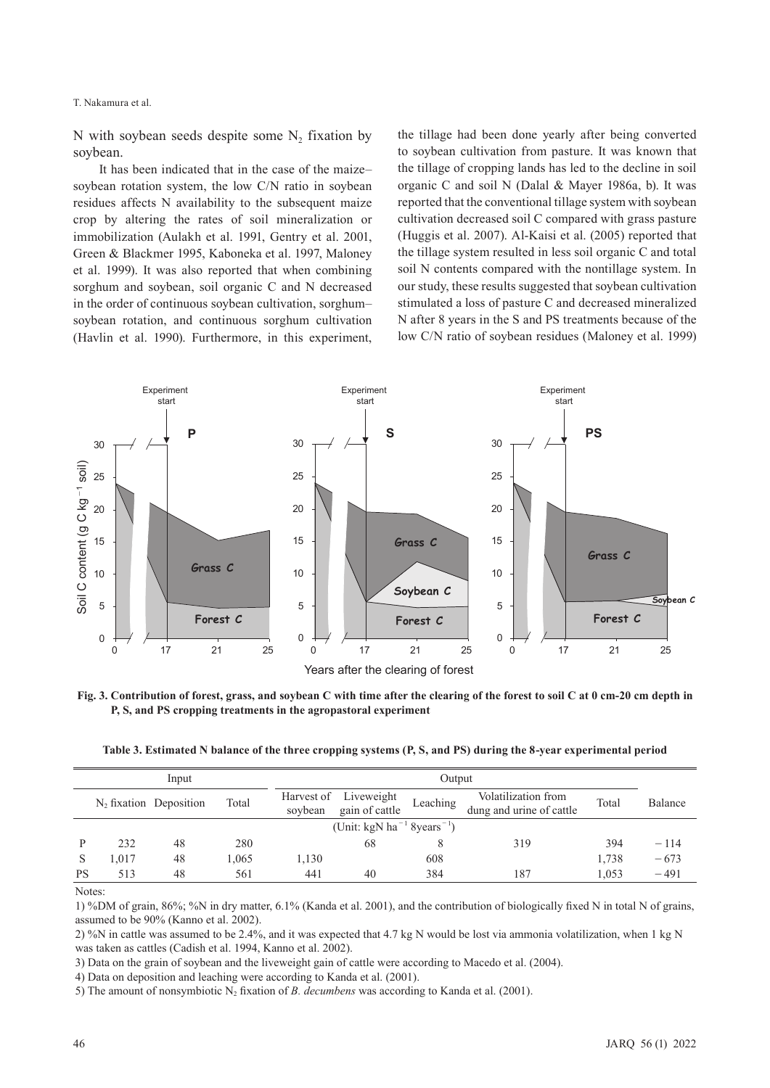T. Nakamura et al.

N with soybean seeds despite some  $N<sub>2</sub>$  fixation by soybean.

It has been indicated that in the case of the maize– soybean rotation system, the low C/N ratio in soybean residues affects N availability to the subsequent maize crop by altering the rates of soil mineralization or immobilization (Aulakh et al. 1991, Gentry et al. 2001, Green & Blackmer 1995, Kaboneka et al. 1997, Maloney et al. 1999). It was also reported that when combining sorghum and soybean, soil organic C and N decreased in the order of continuous soybean cultivation, sorghum– soybean rotation, and continuous sorghum cultivation (Havlin et al. 1990). Furthermore, in this experiment, the tillage had been done yearly after being converted to soybean cultivation from pasture. It was known that the tillage of cropping lands has led to the decline in soil organic C and soil N (Dalal & Mayer 1986a, b). It was reported that the conventional tillage system with soybean cultivation decreased soil C compared with grass pasture (Huggis et al. 2007). Al-Kaisi et al. (2005) reported that the tillage system resulted in less soil organic C and total soil N contents compared with the nontillage system. In our study, these results suggested that soybean cultivation stimulated a loss of pasture C and decreased mineralized N after 8 years in the S and PS treatments because of the low C/N ratio of soybean residues (Maloney et al. 1999)



**Fig. 3. Contribution of forest, grass, and soybean C with time after the clearing of the forest to soil C at 0 cm-20 cm depth in P, S, and PS cropping treatments in the agropastoral experiment**

| Table 3. Estimated N balance of the three cropping systems (P, S, and PS) during the 8-year experimental period |  |  |  |  |
|-----------------------------------------------------------------------------------------------------------------|--|--|--|--|
|                                                                                                                 |  |  |  |  |

| Input                                              |       |                                    |       | Output  |                                         |          |                                                 |       |         |
|----------------------------------------------------|-------|------------------------------------|-------|---------|-----------------------------------------|----------|-------------------------------------------------|-------|---------|
|                                                    |       | $N_2$ fixation Deposition<br>Total |       | soybean | Harvest of Liveweight<br>gain of cattle | Leaching | Volatilization from<br>dung and urine of cattle | Total | Balance |
| (Unit: kgN ha <sup>-1</sup> 8years <sup>-1</sup> ) |       |                                    |       |         |                                         |          |                                                 |       |         |
|                                                    | 232   | 48                                 | 280   |         | 68                                      |          | 319                                             | 394   | $-114$  |
| <sup>S</sup>                                       | 1.017 | 48                                 | 1,065 | 1,130   |                                         | 608      |                                                 | 1.738 | $-673$  |
| PS                                                 | 513   | 48                                 | 561   | 441     | 40                                      | 384      | 187                                             | 1.053 | $-491$  |

Notes:

1) %DM of grain, 86%; %N in dry matter, 6.1% (Kanda et al. 2001), and the contribution of biologically fixed N in total N of grains, assumed to be 90% (Kanno et al. 2002).

2) %N in cattle was assumed to be 2.4%, and it was expected that 4.7 kg N would be lost via ammonia volatilization, when 1 kg N was taken as cattles (Cadish et al. 1994, Kanno et al. 2002).

3) Data on the grain of soybean and the liveweight gain of cattle were according to Macedo et al. (2004).

4) Data on deposition and leaching were according to Kanda et al. (2001).

5) The amount of nonsymbiotic N2 fixation of *B. decumbens* was according to Kanda et al. (2001).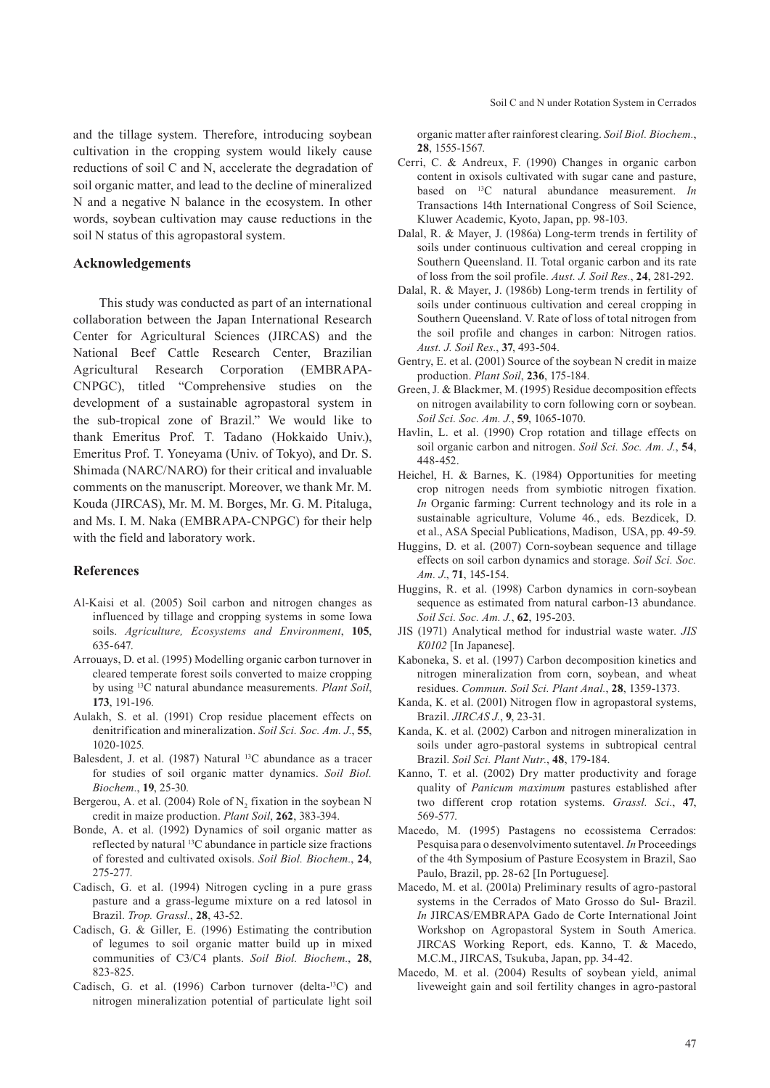and the tillage system. Therefore, introducing soybean cultivation in the cropping system would likely cause reductions of soil C and N, accelerate the degradation of soil organic matter, and lead to the decline of mineralized N and a negative N balance in the ecosystem. In other words, soybean cultivation may cause reductions in the soil N status of this agropastoral system.

#### **Acknowledgements**

This study was conducted as part of an international collaboration between the Japan International Research Center for Agricultural Sciences (JIRCAS) and the National Beef Cattle Research Center, Brazilian Agricultural Research Corporation (EMBRAPA-CNPGC), titled "Comprehensive studies on the development of a sustainable agropastoral system in the sub-tropical zone of Brazil." We would like to thank Emeritus Prof. T. Tadano (Hokkaido Univ.), Emeritus Prof. T. Yoneyama (Univ. of Tokyo), and Dr. S. Shimada (NARC/NARO) for their critical and invaluable comments on the manuscript. Moreover, we thank Mr. M. Kouda (JIRCAS), Mr. M. M. Borges, Mr. G. M. Pitaluga, and Ms. I. M. Naka (EMBRAPA-CNPGC) for their help with the field and laboratory work.

#### **References**

- Al-Kaisi et al. (2005) Soil carbon and nitrogen changes as influenced by tillage and cropping systems in some Iowa soils. *Agriculture, Ecosystems and Environment*, **105**, 635-647.
- Arrouays, D. et al. (1995) Modelling organic carbon turnover in cleared temperate forest soils converted to maize cropping by using 13C natural abundance measurements. *Plant Soil*, **173**, 191-196*.*
- Aulakh, S. et al. (1991) Crop residue placement effects on denitrification and mineralization. *Soil Sci. Soc. Am. J.*, **55**, 1020-1025*.*
- Balesdent, J. et al. (1987) Natural 13C abundance as a tracer for studies of soil organic matter dynamics. *Soil Biol. Biochem.*, **19**, 25-30*.*
- Bergerou, A. et al. (2004) Role of  $N_2$  fixation in the soybean N credit in maize production. *Plant Soil*, **262**, 383-394.
- Bonde, A. et al. (1992) Dynamics of soil organic matter as reflected by natural 13C abundance in particle size fractions of forested and cultivated oxisols. *Soil Biol. Biochem.*, **24**, 275-277.
- Cadisch, G. et al. (1994) Nitrogen cycling in a pure grass pasture and a grass-legume mixture on a red latosol in Brazil. *Trop. Grassl.*, **28**, 43-52.
- Cadisch, G. & Giller, E. (1996) Estimating the contribution of legumes to soil organic matter build up in mixed communities of C3/C4 plants. *Soil Biol. Biochem.*, **28**, 823-825.
- Cadisch, G. et al. (1996) Carbon turnover (delta-13C) and nitrogen mineralization potential of particulate light soil

organic matter after rainforest clearing. *Soil Biol. Biochem.*, **28**, 1555-1567.

- Cerri, C. & Andreux, F. (1990) Changes in organic carbon content in oxisols cultivated with sugar cane and pasture, based on 13C natural abundance measurement. *In* Transactions 14th International Congress of Soil Science, Kluwer Academic, Kyoto, Japan, pp. 98-103.
- Dalal, R. & Mayer, J. (1986a) Long-term trends in fertility of soils under continuous cultivation and cereal cropping in Southern Queensland. II. Total organic carbon and its rate of loss from the soil profile. *Aust. J. Soil Res.*, **24**, 281-292.
- Dalal, R. & Mayer, J. (1986b) Long-term trends in fertility of soils under continuous cultivation and cereal cropping in Southern Queensland. V. Rate of loss of total nitrogen from the soil profile and changes in carbon: Nitrogen ratios. *Aust. J. Soil Res.*, **37**, 493-504.
- Gentry, E. et al. (2001) Source of the soybean N credit in maize production. *Plant Soil*, **236**, 175-184.
- Green, J. & Blackmer, M. (1995) Residue decomposition effects on nitrogen availability to corn following corn or soybean. *Soil Sci. Soc. Am. J.*, **59**, 1065-1070.
- Havlin, L. et al. (1990) Crop rotation and tillage effects on soil organic carbon and nitrogen. *Soil Sci. Soc. Am. J.*, **54**, 448-452.
- Heichel, H. & Barnes, K. (1984) Opportunities for meeting crop nitrogen needs from symbiotic nitrogen fixation. *In* Organic farming: Current technology and its role in a sustainable agriculture, Volume 46*.*, eds. Bezdicek, D. et al., ASA Special Publications, Madison, USA, pp. 49-59.
- Huggins, D. et al. (2007) Corn-soybean sequence and tillage effects on soil carbon dynamics and storage. *Soil Sci. Soc. Am. J*., **71**, 145-154.
- Huggins, R. et al. (1998) Carbon dynamics in corn-soybean sequence as estimated from natural carbon-13 abundance. *Soil Sci. Soc. Am. J.*, **62**, 195-203.
- JIS (1971) Analytical method for industrial waste water. *JIS K0102* [In Japanese].
- Kaboneka, S. et al. (1997) Carbon decomposition kinetics and nitrogen mineralization from corn, soybean, and wheat residues. *Commun. Soil Sci. Plant Anal.*, **28**, 1359-1373.
- Kanda, K. et al. (2001) Nitrogen flow in agropastoral systems, Brazil. *JIRCAS J.*, **9**, 23-31.
- Kanda, K. et al. (2002) Carbon and nitrogen mineralization in soils under agro-pastoral systems in subtropical central Brazil. *Soil Sci. Plant Nutr.*, **48**, 179-184.
- Kanno, T. et al. (2002) Dry matter productivity and forage quality of *Panicum maximum* pastures established after two different crop rotation systems. *Grassl. Sci.*, **47**, 569-577.
- Macedo, M. (1995) Pastagens no ecossistema Cerrados: Pesquisa para o desenvolvimento sutentavel. *In* Proceedings of the 4th Symposium of Pasture Ecosystem in Brazil, Sao Paulo, Brazil, pp. 28-62 [In Portuguese].
- Macedo, M. et al. (2001a) Preliminary results of agro-pastoral systems in the Cerrados of Mato Grosso do Sul- Brazil. *In* JIRCAS/EMBRAPA Gado de Corte International Joint Workshop on Agropastoral System in South America. JIRCAS Working Report, eds. Kanno, T. & Macedo, M.C.M., JIRCAS, Tsukuba, Japan, pp. 34-42.
- Macedo, M. et al. (2004) Results of soybean yield, animal liveweight gain and soil fertility changes in agro-pastoral